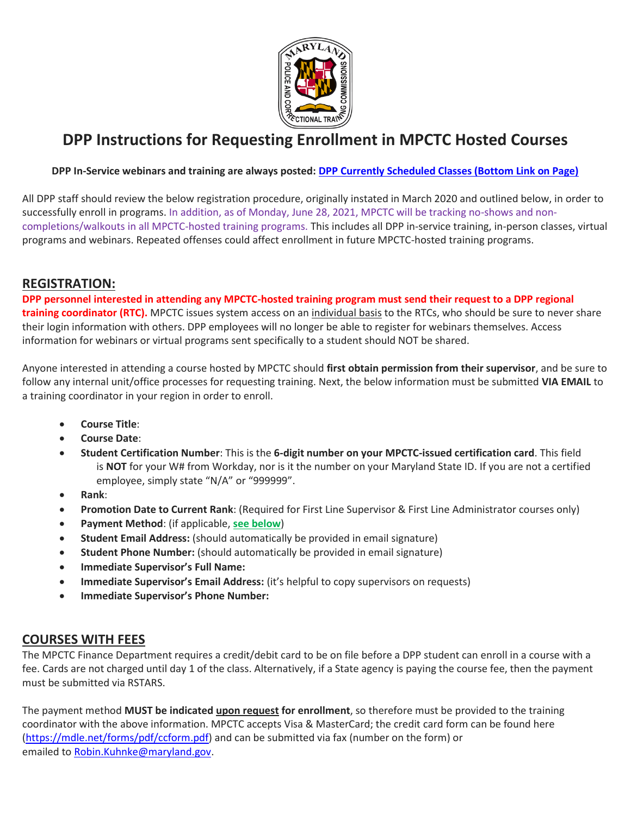

# **DPP Instructions for Requesting Enrollment in MPCTC Hosted Courses**

#### **DPP In-Service webinars and training are always posted: [DPP Currently Scheduled Classes \(Bottom Link on Page\)](https://mdle.net/parole_probation.php)**

All DPP staff should review the below registration procedure, originally instated in March 2020 and outlined below, in order to successfully enroll in programs. In addition, as of Monday, June 28, 2021, MPCTC will be tracking no-shows and noncompletions/walkouts in all MPCTC-hosted training programs. This includes all DPP in-service training, in-person classes, virtual programs and webinars. Repeated offenses could affect enrollment in future MPCTC-hosted training programs.

## **REGISTRATION:**

**DPP personnel interested in attending any MPCTC-hosted training program must send their request to a DPP regional training coordinator (RTC).** MPCTC issues system access on an individual basis to the RTCs, who should be sure to never share their login information with others. DPP employees will no longer be able to register for webinars themselves. Access information for webinars or virtual programs sent specifically to a student should NOT be shared.

Anyone interested in attending a course hosted by MPCTC should **first obtain permission from their supervisor**, and be sure to follow any internal unit/office processes for requesting training. Next, the below information must be submitted **VIA EMAIL** to a training coordinator in your region in order to enroll.

- **Course Title**:
- **Course Date**:
- **Student Certification Number**: This is the **6-digit number on your MPCTC-issued certification card**. This field is **NOT** for your W# from Workday, nor is it the number on your Maryland State ID. If you are not a certified employee, simply state "N/A" or "999999".
- **Rank**:
- **Promotion Date to Current Rank**: (Required for First Line Supervisor & First Line Administrator courses only)
- **Payment Method**: (if applicable, **see below**)
- **Student Email Address:** (should automatically be provided in email signature)
- **Student Phone Number:** (should automatically be provided in email signature)
- **Immediate Supervisor's Full Name:**
- **•** Immediate Supervisor's Email Address: (it's helpful to copy supervisors on requests)
- **Immediate Supervisor's Phone Number:**

## **COURSES WITH FEES**

The MPCTC Finance Department requires a credit/debit card to be on file before a DPP student can enroll in a course with a fee. Cards are not charged until day 1 of the class. Alternatively, if a State agency is paying the course fee, then the payment must be submitted via RSTARS.

The payment method **MUST be indicated upon request for enrollment**, so therefore must be provided to the training coordinator with the above information. MPCTC accepts Visa & MasterCard; the credit card form can be found here [\(https://mdle.net/forms/pdf/ccform.pdf\)](https://mdle.net/forms/pdf/ccform.pdf) and can be submitted via fax (number on the form) or emailed to [Robin.Kuhnke@maryland.gov.](mailto:Robin.Kuhnke@maryland.gov)